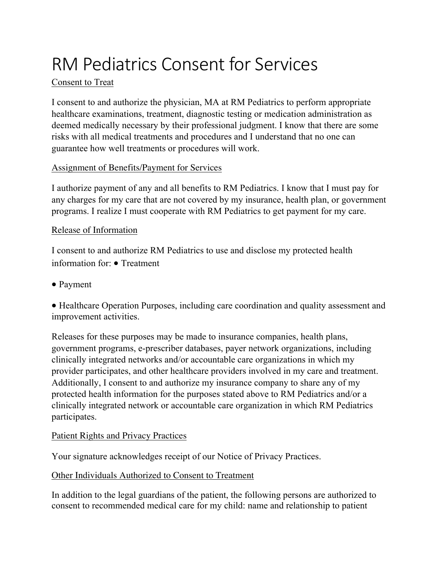# RM Pediatrics Consent for Services

# Consent to Treat

I consent to and authorize the physician, MA at RM Pediatrics to perform appropriate healthcare examinations, treatment, diagnostic testing or medication administration as deemed medically necessary by their professional judgment. I know that there are some risks with all medical treatments and procedures and I understand that no one can guarantee how well treatments or procedures will work.

### Assignment of Benefits/Payment for Services

I authorize payment of any and all benefits to RM Pediatrics. I know that I must pay for any charges for my care that are not covered by my insurance, health plan, or government programs. I realize I must cooperate with RM Pediatrics to get payment for my care.

#### Release of Information

I consent to and authorize RM Pediatrics to use and disclose my protected health information for: • Treatment

• Payment

• Healthcare Operation Purposes, including care coordination and quality assessment and improvement activities.

Releases for these purposes may be made to insurance companies, health plans, government programs, e-prescriber databases, payer network organizations, including clinically integrated networks and/or accountable care organizations in which my provider participates, and other healthcare providers involved in my care and treatment. Additionally, I consent to and authorize my insurance company to share any of my protected health information for the purposes stated above to RM Pediatrics and/or a clinically integrated network or accountable care organization in which RM Pediatrics participates.

#### Patient Rights and Privacy Practices

Your signature acknowledges receipt of our Notice of Privacy Practices.

## Other Individuals Authorized to Consent to Treatment

In addition to the legal guardians of the patient, the following persons are authorized to consent to recommended medical care for my child: name and relationship to patient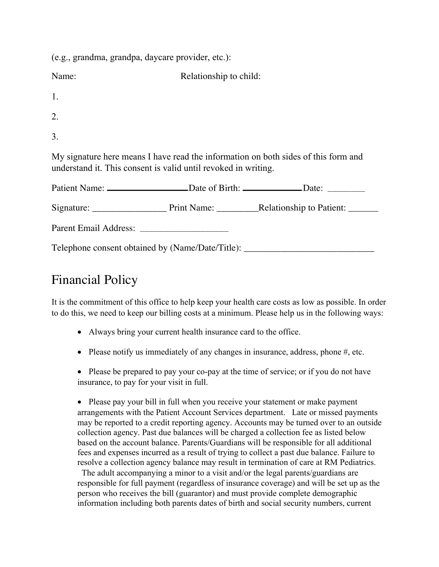|  |  |  | (e.g., grandma, grandpa, daycare provider, etc.): |
|--|--|--|---------------------------------------------------|
|--|--|--|---------------------------------------------------|

Name: Relationship to child:

- 1.
- 2.
- 
- 3.

My signature here means I have read the information on both sides of this form and understand it. This consent is valid until revoked in writing.

| Telephone consent obtained by (Name/Date/Title): |  |
|--------------------------------------------------|--|

# Financial Policy

It is the commitment of this office to help keep your health care costs as low as possible. In order to do this, we need to keep our billing costs at a minimum. Please help us in the following ways:

- Always bring your current health insurance card to the office.
- Please notify us immediately of any changes in insurance, address, phone  $\#$ , etc.

• Please be prepared to pay your co-pay at the time of service; or if you do not have insurance, to pay for your visit in full.

• Please pay your bill in full when you receive your statement or make payment arrangements with the Patient Account Services department. Late or missed payments may be reported to a credit reporting agency. Accounts may be turned over to an outside collection agency. Past due balances will be charged a collection fee as listed below based on the account balance. Parents/Guardians will be responsible for all additional fees and expenses incurred as a result of trying to collect a past due balance. Failure to resolve a collection agency balance may result in termination of care at RM Pediatrics.

The adult accompanying a minor to a visit and/or the legal parents/guardians are responsible for full payment (regardless of insurance coverage) and will be set up as the person who receives the bill (guarantor) and must provide complete demographic information including both parents dates of birth and social security numbers, current